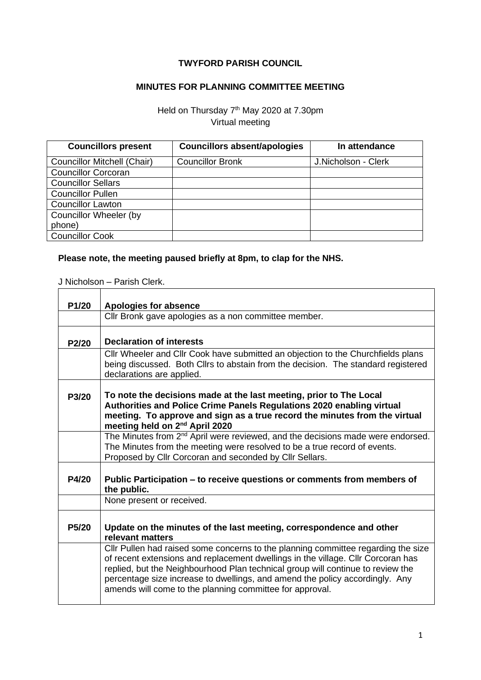## **TWYFORD PARISH COUNCIL**

## **MINUTES FOR PLANNING COMMITTEE MEETING**

Held on Thursday 7<sup>th</sup> May 2020 at 7.30pm Virtual meeting

| <b>Councillors present</b>         | <b>Councillors absent/apologies</b> | In attendance       |
|------------------------------------|-------------------------------------|---------------------|
| <b>Councillor Mitchell (Chair)</b> | <b>Councillor Bronk</b>             | J.Nicholson - Clerk |
| <b>Councillor Corcoran</b>         |                                     |                     |
| <b>Councillor Sellars</b>          |                                     |                     |
| <b>Councillor Pullen</b>           |                                     |                     |
| <b>Councillor Lawton</b>           |                                     |                     |
| Councillor Wheeler (by             |                                     |                     |
| phone)                             |                                     |                     |
| <b>Councillor Cook</b>             |                                     |                     |

## **Please note, the meeting paused briefly at 8pm, to clap for the NHS.**

J Nicholson – Parish Clerk.

| P1/20              | Apologies for absence                                                                                                                                                                                                                                                                                                                                                                                |  |
|--------------------|------------------------------------------------------------------------------------------------------------------------------------------------------------------------------------------------------------------------------------------------------------------------------------------------------------------------------------------------------------------------------------------------------|--|
|                    | Cllr Bronk gave apologies as a non committee member.                                                                                                                                                                                                                                                                                                                                                 |  |
| P2/20              | <b>Declaration of interests</b>                                                                                                                                                                                                                                                                                                                                                                      |  |
|                    | Cllr Wheeler and Cllr Cook have submitted an objection to the Churchfields plans<br>being discussed. Both Cllrs to abstain from the decision. The standard registered<br>declarations are applied.                                                                                                                                                                                                   |  |
| P3/20              | To note the decisions made at the last meeting, prior to The Local<br>Authorities and Police Crime Panels Regulations 2020 enabling virtual<br>meeting. To approve and sign as a true record the minutes from the virtual<br>meeting held on 2 <sup>nd</sup> April 2020                                                                                                                              |  |
|                    | The Minutes from 2 <sup>nd</sup> April were reviewed, and the decisions made were endorsed.<br>The Minutes from the meeting were resolved to be a true record of events.<br>Proposed by Cllr Corcoran and seconded by Cllr Sellars.                                                                                                                                                                  |  |
| P4/20              | Public Participation – to receive questions or comments from members of<br>the public.                                                                                                                                                                                                                                                                                                               |  |
|                    | None present or received.                                                                                                                                                                                                                                                                                                                                                                            |  |
| P <sub>5</sub> /20 | Update on the minutes of the last meeting, correspondence and other<br>relevant matters                                                                                                                                                                                                                                                                                                              |  |
|                    | CIIr Pullen had raised some concerns to the planning committee regarding the size<br>of recent extensions and replacement dwellings in the village. Cllr Corcoran has<br>replied, but the Neighbourhood Plan technical group will continue to review the<br>percentage size increase to dwellings, and amend the policy accordingly. Any<br>amends will come to the planning committee for approval. |  |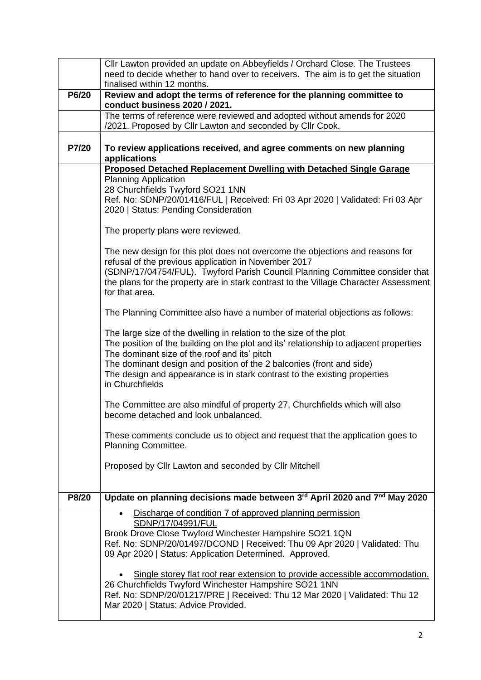|       | Cllr Lawton provided an update on Abbeyfields / Orchard Close. The Trustees                                                                                                                                                                                                                                                                                                         |  |
|-------|-------------------------------------------------------------------------------------------------------------------------------------------------------------------------------------------------------------------------------------------------------------------------------------------------------------------------------------------------------------------------------------|--|
|       | need to decide whether to hand over to receivers. The aim is to get the situation<br>finalised within 12 months.                                                                                                                                                                                                                                                                    |  |
| P6/20 | Review and adopt the terms of reference for the planning committee to<br>conduct business 2020 / 2021.                                                                                                                                                                                                                                                                              |  |
|       | The terms of reference were reviewed and adopted without amends for 2020<br>/2021. Proposed by Cllr Lawton and seconded by Cllr Cook.                                                                                                                                                                                                                                               |  |
| P7/20 | To review applications received, and agree comments on new planning<br>applications                                                                                                                                                                                                                                                                                                 |  |
|       | Proposed Detached Replacement Dwelling with Detached Single Garage<br><b>Planning Application</b>                                                                                                                                                                                                                                                                                   |  |
|       | 28 Churchfields Twyford SO21 1NN                                                                                                                                                                                                                                                                                                                                                    |  |
|       | Ref. No: SDNP/20/01416/FUL   Received: Fri 03 Apr 2020   Validated: Fri 03 Apr<br>2020   Status: Pending Consideration                                                                                                                                                                                                                                                              |  |
|       | The property plans were reviewed.                                                                                                                                                                                                                                                                                                                                                   |  |
|       | The new design for this plot does not overcome the objections and reasons for<br>refusal of the previous application in November 2017                                                                                                                                                                                                                                               |  |
|       | (SDNP/17/04754/FUL). Twyford Parish Council Planning Committee consider that<br>the plans for the property are in stark contrast to the Village Character Assessment<br>for that area.                                                                                                                                                                                              |  |
|       | The Planning Committee also have a number of material objections as follows:                                                                                                                                                                                                                                                                                                        |  |
|       | The large size of the dwelling in relation to the size of the plot<br>The position of the building on the plot and its' relationship to adjacent properties<br>The dominant size of the roof and its' pitch<br>The dominant design and position of the 2 balconies (front and side)<br>The design and appearance is in stark contrast to the existing properties<br>in Churchfields |  |
|       | The Committee are also mindful of property 27, Churchfields which will also<br>become detached and look unbalanced.                                                                                                                                                                                                                                                                 |  |
|       | These comments conclude us to object and request that the application goes to<br>Planning Committee.                                                                                                                                                                                                                                                                                |  |
|       | Proposed by Cllr Lawton and seconded by Cllr Mitchell                                                                                                                                                                                                                                                                                                                               |  |
| P8/20 | Update on planning decisions made between 3rd April 2020 and 7nd May 2020                                                                                                                                                                                                                                                                                                           |  |
|       | Discharge of condition 7 of approved planning permission                                                                                                                                                                                                                                                                                                                            |  |
|       | SDNP/17/04991/FUL<br>Brook Drove Close Twyford Winchester Hampshire SO21 1QN<br>Ref. No: SDNP/20/01497/DCOND   Received: Thu 09 Apr 2020   Validated: Thu<br>09 Apr 2020   Status: Application Determined. Approved.                                                                                                                                                                |  |
|       | Single storey flat roof rear extension to provide accessible accommodation.<br>26 Churchfields Twyford Winchester Hampshire SO21 1NN<br>Ref. No: SDNP/20/01217/PRE   Received: Thu 12 Mar 2020   Validated: Thu 12<br>Mar 2020   Status: Advice Provided.                                                                                                                           |  |